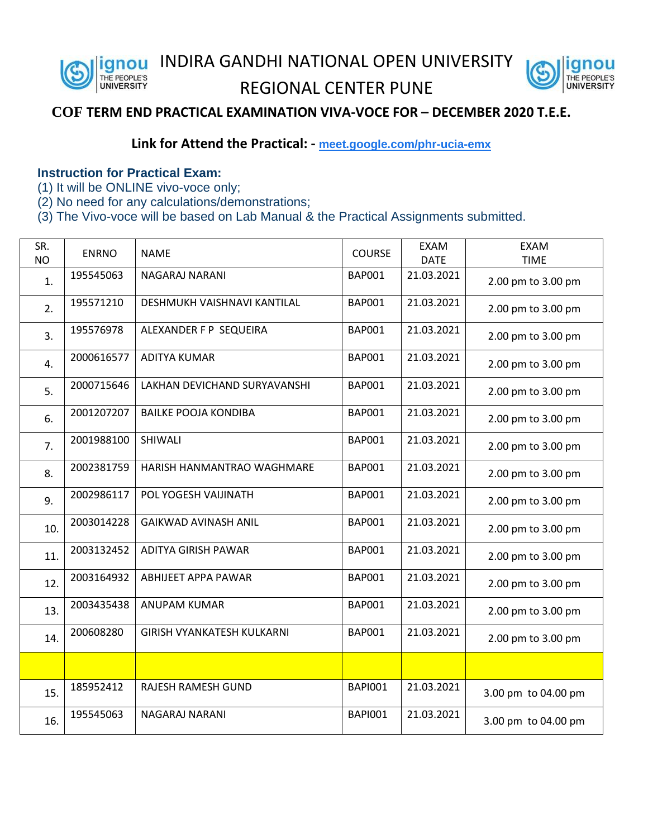nou INDIRA GANDHI NATIONAL OPEN UNIVERSITY THE PEOPLE'S

## REGIONAL CENTER PUNE



## **COF TERM END PRACTICAL EXAMINATION VIVA-VOCE FOR – DECEMBER 2020 T.E.E.**

## **Link for Attend the Practical: - [meet.google.com/phr-ucia-emx](https://meet.google.com/phr-ucia-emx?hs=122&authuser=0)**

## **Instruction for Practical Exam:**

- (1) It will be ONLINE vivo-voce only;
- (2) No need for any calculations/demonstrations;
- (3) The Vivo-voce will be based on Lab Manual & the Practical Assignments submitted.

| SR.<br><b>NO</b> | <b>ENRNO</b> | <b>NAME</b>                       | <b>COURSE</b>  | <b>EXAM</b><br><b>DATE</b> | <b>EXAM</b><br><b>TIME</b> |
|------------------|--------------|-----------------------------------|----------------|----------------------------|----------------------------|
| 1.               | 195545063    | NAGARAJ NARANI                    | <b>BAP001</b>  | 21.03.2021                 | 2.00 pm to 3.00 pm         |
| 2.               | 195571210    | DESHMUKH VAISHNAVI KANTILAL       | <b>BAP001</b>  | 21.03.2021                 | 2.00 pm to 3.00 pm         |
| 3.               | 195576978    | ALEXANDER F P SEQUEIRA            | <b>BAP001</b>  | 21.03.2021                 | 2.00 pm to 3.00 pm         |
| 4.               | 2000616577   | <b>ADITYA KUMAR</b>               | <b>BAP001</b>  | 21.03.2021                 | 2.00 pm to 3.00 pm         |
| 5.               | 2000715646   | LAKHAN DEVICHAND SURYAVANSHI      | <b>BAP001</b>  | 21.03.2021                 | 2.00 pm to 3.00 pm         |
| 6.               | 2001207207   | <b>BAILKE POOJA KONDIBA</b>       | <b>BAP001</b>  | 21.03.2021                 | 2.00 pm to 3.00 pm         |
| 7.               | 2001988100   | SHIWALI                           | <b>BAP001</b>  | 21.03.2021                 | 2.00 pm to 3.00 pm         |
| 8.               | 2002381759   | HARISH HANMANTRAO WAGHMARE        | <b>BAP001</b>  | 21.03.2021                 | 2.00 pm to 3.00 pm         |
| 9.               | 2002986117   | POL YOGESH VAIJINATH              | <b>BAP001</b>  | 21.03.2021                 | 2.00 pm to 3.00 pm         |
| 10.              | 2003014228   | <b>GAIKWAD AVINASH ANIL</b>       | <b>BAP001</b>  | 21.03.2021                 | 2.00 pm to 3.00 pm         |
| 11.              | 2003132452   | ADITYA GIRISH PAWAR               | <b>BAP001</b>  | 21.03.2021                 | 2.00 pm to 3.00 pm         |
| 12.              | 2003164932   | <b>ABHIJEET APPA PAWAR</b>        | <b>BAP001</b>  | 21.03.2021                 | 2.00 pm to 3.00 pm         |
| 13.              | 2003435438   | ANUPAM KUMAR                      | <b>BAP001</b>  | 21.03.2021                 | 2.00 pm to 3.00 pm         |
| 14.              | 200608280    | <b>GIRISH VYANKATESH KULKARNI</b> | <b>BAP001</b>  | 21.03.2021                 | 2.00 pm to 3.00 pm         |
|                  |              |                                   |                |                            |                            |
| 15.              | 185952412    | RAJESH RAMESH GUND                | <b>BAPI001</b> | 21.03.2021                 | 3.00 pm to 04.00 pm        |
| 16.              | 195545063    | NAGARAJ NARANI                    | <b>BAPI001</b> | 21.03.2021                 | 3.00 pm to 04.00 pm        |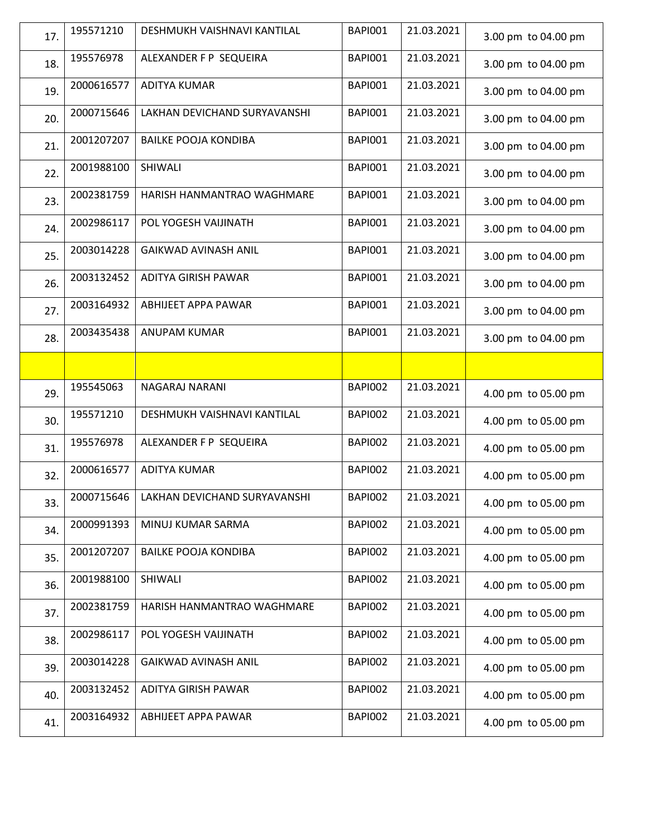| 17. | 195571210  | DESHMUKH VAISHNAVI KANTILAL               | <b>BAPI001</b> | 21.03.2021 | 3.00 pm to 04.00 pm |
|-----|------------|-------------------------------------------|----------------|------------|---------------------|
| 18. | 195576978  | ALEXANDER F P SEQUEIRA                    | <b>BAPI001</b> | 21.03.2021 | 3.00 pm to 04.00 pm |
| 19. | 2000616577 | <b>ADITYA KUMAR</b>                       | <b>BAPI001</b> | 21.03.2021 | 3.00 pm to 04.00 pm |
| 20. | 2000715646 | LAKHAN DEVICHAND SURYAVANSHI              | <b>BAPI001</b> | 21.03.2021 | 3.00 pm to 04.00 pm |
| 21. | 2001207207 | <b>BAILKE POOJA KONDIBA</b>               | <b>BAPI001</b> | 21.03.2021 | 3.00 pm to 04.00 pm |
| 22. | 2001988100 | SHIWALI                                   | <b>BAPI001</b> | 21.03.2021 | 3.00 pm to 04.00 pm |
| 23. | 2002381759 | HARISH HANMANTRAO WAGHMARE                | <b>BAPI001</b> | 21.03.2021 | 3.00 pm to 04.00 pm |
| 24. | 2002986117 | POL YOGESH VAIJINATH                      | <b>BAPI001</b> | 21.03.2021 | 3.00 pm to 04.00 pm |
| 25. | 2003014228 | GAIKWAD AVINASH ANIL                      | <b>BAPI001</b> | 21.03.2021 | 3.00 pm to 04.00 pm |
| 26. | 2003132452 | <b>ADITYA GIRISH PAWAR</b>                | <b>BAPI001</b> | 21.03.2021 | 3.00 pm to 04.00 pm |
| 27. | 2003164932 | ABHIJEET APPA PAWAR                       | <b>BAPI001</b> | 21.03.2021 | 3.00 pm to 04.00 pm |
| 28. | 2003435438 | <b>ANUPAM KUMAR</b>                       | <b>BAPI001</b> | 21.03.2021 | 3.00 pm to 04.00 pm |
|     |            |                                           |                |            |                     |
| 29. | 195545063  | NAGARAJ NARANI                            | <b>BAPI002</b> | 21.03.2021 | 4.00 pm to 05.00 pm |
| 30. | 195571210  | DESHMUKH VAISHNAVI KANTILAL               | <b>BAPI002</b> | 21.03.2021 | 4.00 pm to 05.00 pm |
| 31. | 195576978  | ALEXANDER F P SEQUEIRA                    | <b>BAPI002</b> | 21.03.2021 | 4.00 pm to 05.00 pm |
| 32. | 2000616577 | <b>ADITYA KUMAR</b>                       | <b>BAPI002</b> | 21.03.2021 | 4.00 pm to 05.00 pm |
| 33. |            | 2000715646   LAKHAN DEVICHAND SURYAVANSHI | <b>BAPI002</b> | 21.03.2021 | 4.00 pm to 05.00 pm |
| 34. | 2000991393 | MINUJ KUMAR SARMA                         | <b>BAPI002</b> | 21.03.2021 | 4.00 pm to 05.00 pm |
| 35. | 2001207207 | <b>BAILKE POOJA KONDIBA</b>               | <b>BAPI002</b> | 21.03.2021 | 4.00 pm to 05.00 pm |
| 36. | 2001988100 | SHIWALI                                   | BAPI002        | 21.03.2021 | 4.00 pm to 05.00 pm |
| 37. | 2002381759 | HARISH HANMANTRAO WAGHMARE                | BAPI002        | 21.03.2021 | 4.00 pm to 05.00 pm |
| 38. | 2002986117 | POL YOGESH VAIJINATH                      | <b>BAPI002</b> | 21.03.2021 | 4.00 pm to 05.00 pm |
| 39. | 2003014228 | GAIKWAD AVINASH ANIL                      | <b>BAPI002</b> | 21.03.2021 | 4.00 pm to 05.00 pm |
| 40. | 2003132452 | ADITYA GIRISH PAWAR                       | <b>BAPI002</b> | 21.03.2021 | 4.00 pm to 05.00 pm |
| 41. | 2003164932 | ABHIJEET APPA PAWAR                       | <b>BAPI002</b> | 21.03.2021 | 4.00 pm to 05.00 pm |